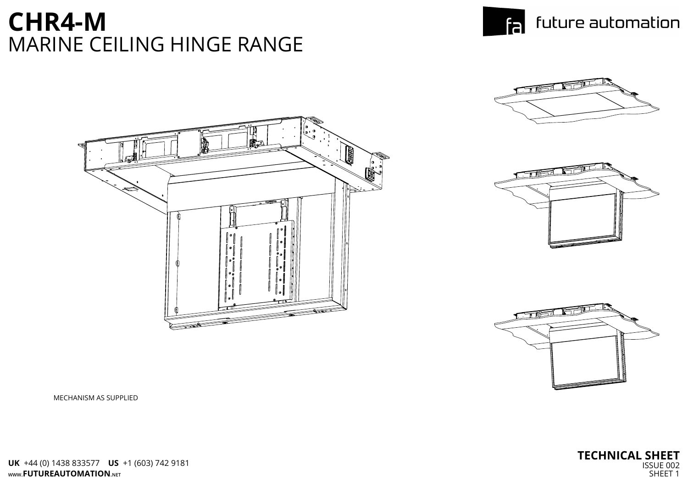MECHANISM AS SUPPLIED



## **CHR4-M** MARINE CEILING HINGE RANGE





**WWW.FUTUREAUTOMATION.NET UK** +44 (0) 1438 833577 **US** +1 (603) 742 9181

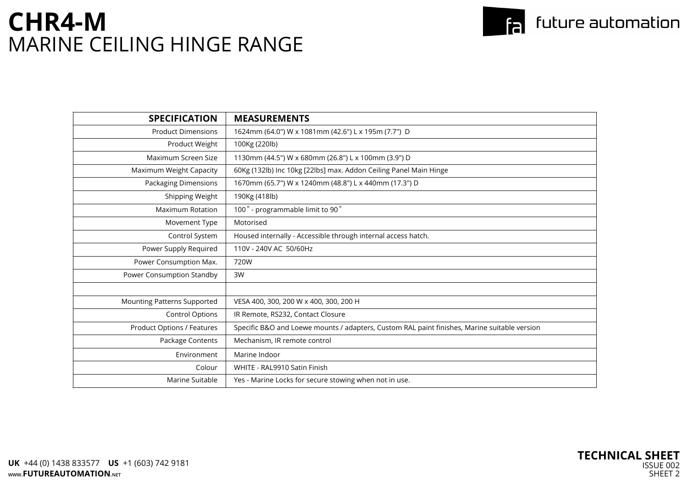| <b>SPECIFICATION</b>               | <b>MEASUREMENTS</b>                                                                          |
|------------------------------------|----------------------------------------------------------------------------------------------|
| <b>Product Dimensions</b>          | 1624mm (64.0") W x 1081mm (42.6") L x 195m (7.7") D                                          |
| Product Weight                     | 100Kg (220lb)                                                                                |
| Maximum Screen Size                | 1130mm (44.5") W x 680mm (26.8") L x 100mm (3.9") D                                          |
| <b>Maximum Weight Capacity</b>     | 60Kg (132lb) Inc 10kg [22lbs] max. Addon Ceiling Panel Main Hinge                            |
| <b>Packaging Dimensions</b>        | 1670mm (65.7") W x 1240mm (48.8") L x 440mm (17.3") D                                        |
| Shipping Weight                    | 190Kg (418lb)                                                                                |
| <b>Maximum Rotation</b>            | 100° - programmable limit to 90°                                                             |
| Movement Type                      | Motorised                                                                                    |
| Control System                     | Housed internally - Accessible through internal access hatch.                                |
| Power Supply Required              | 110V - 240V AC 50/60Hz                                                                       |
| Power Consumption Max.             | 720W                                                                                         |
| Power Consumption Standby          | 3W                                                                                           |
|                                    |                                                                                              |
| <b>Mounting Patterns Supported</b> | VESA 400, 300, 200 W x 400, 300, 200 H                                                       |
| <b>Control Options</b>             | IR Remote, RS232, Contact Closure                                                            |
| <b>Product Options / Features</b>  | Specific B&O and Loewe mounts / adapters, Custom RAL paint finishes, Marine suitable version |
| Package Contents                   | Mechanism, IR remote control                                                                 |
| Environment                        | Marine Indoor                                                                                |
| Colour                             | WHITE - RAL9910 Satin Finish                                                                 |
| Marine Suitable                    | Yes - Marine Locks for secure stowing when not in use.                                       |
|                                    |                                                                                              |

### to future automation

| ersion |
|--------|
|        |
|        |
|        |
|        |



# **CHR4-M** MARINE CEILING HINGE RANGE

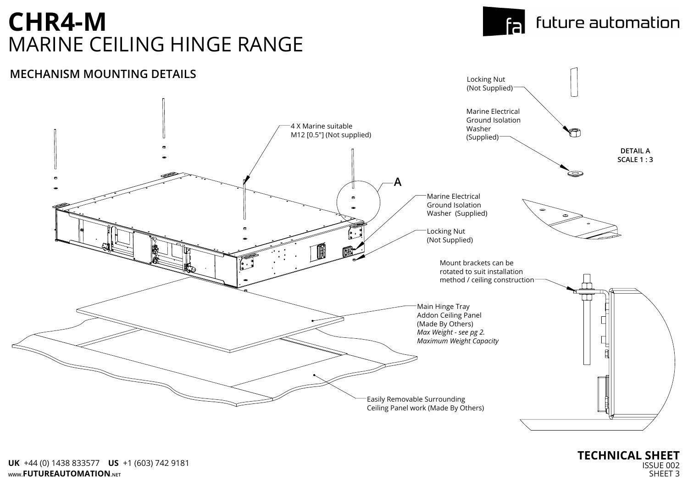

#### **MECHANISM MOUNTING DETAILS**

#### **TECHNICAL SHEET** ISSUE 002 SHEET 3

# **CHR4-M** MARINE CEILING HINGE RANGE

### future automation

fa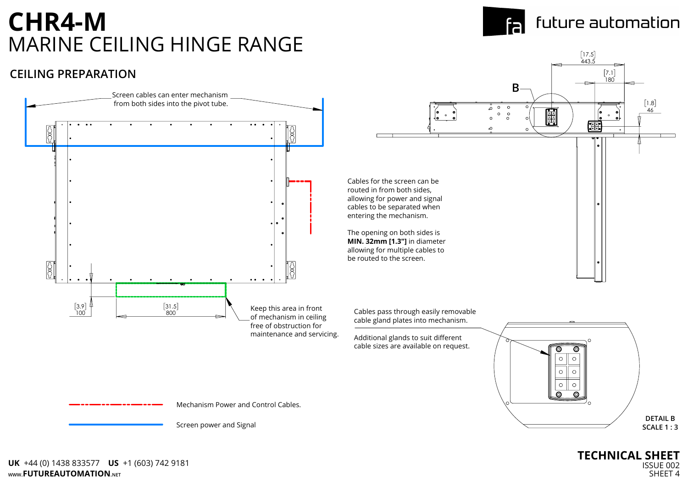

#### **CEILING PREPARATION**

# **CHR4-M** MARINE CEILING HINGE RANGE



### future automation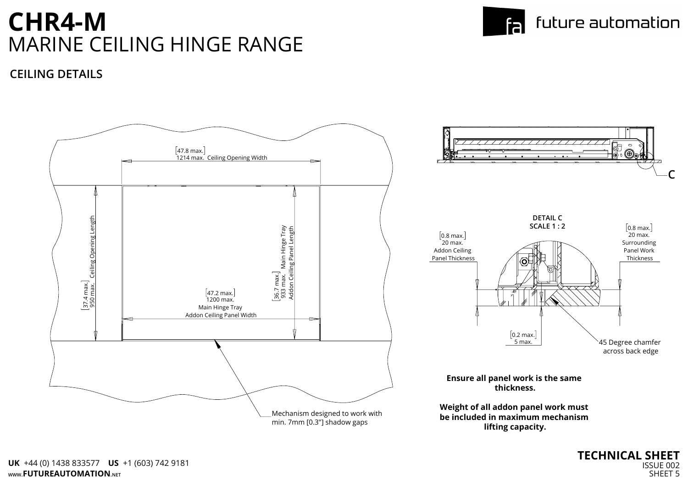

#### **CEILING DETAILS**



# **CHR4-M** MARINE CEILING HINGE RANGE

#### future automation fal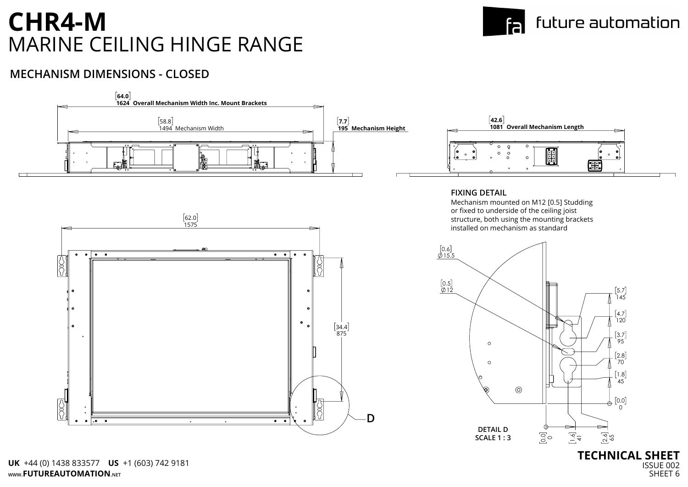

#### **MECHANISM DIMENSIONS - CLOSED**

# **CHR4-M** MARINE CEILING HINGE RANGE

**WWW.FUTUREAUTOMATION.NET UK** +44 (0) 1438 833577 **US** +1 (603) 742 9181

#### future automation fal